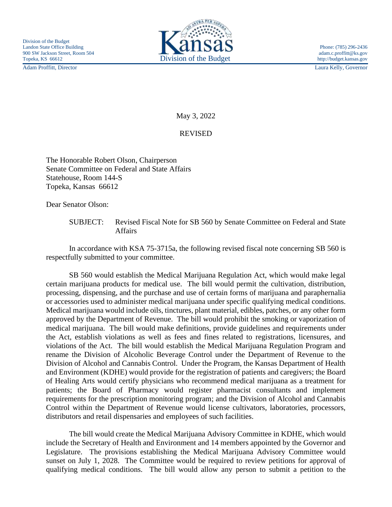Adam Proffitt, Director Laura Kelly, Governor



May 3, 2022

## REVISED

The Honorable Robert Olson, Chairperson Senate Committee on Federal and State Affairs Statehouse, Room 144-S Topeka, Kansas 66612

Dear Senator Olson:

SUBJECT: Revised Fiscal Note for SB 560 by Senate Committee on Federal and State Affairs

In accordance with KSA 75-3715a, the following revised fiscal note concerning SB 560 is respectfully submitted to your committee.

SB 560 would establish the Medical Marijuana Regulation Act, which would make legal certain marijuana products for medical use. The bill would permit the cultivation, distribution, processing, dispensing, and the purchase and use of certain forms of marijuana and paraphernalia or accessories used to administer medical marijuana under specific qualifying medical conditions. Medical marijuana would include oils, tinctures, plant material, edibles, patches, or any other form approved by the Department of Revenue. The bill would prohibit the smoking or vaporization of medical marijuana. The bill would make definitions, provide guidelines and requirements under the Act, establish violations as well as fees and fines related to registrations, licensures, and violations of the Act. The bill would establish the Medical Marijuana Regulation Program and rename the Division of Alcoholic Beverage Control under the Department of Revenue to the Division of Alcohol and Cannabis Control. Under the Program, the Kansas Department of Health and Environment (KDHE) would provide for the registration of patients and caregivers; the Board of Healing Arts would certify physicians who recommend medical marijuana as a treatment for patients; the Board of Pharmacy would register pharmacist consultants and implement requirements for the prescription monitoring program; and the Division of Alcohol and Cannabis Control within the Department of Revenue would license cultivators, laboratories, processors, distributors and retail dispensaries and employees of such facilities.

The bill would create the Medical Marijuana Advisory Committee in KDHE, which would include the Secretary of Health and Environment and 14 members appointed by the Governor and Legislature. The provisions establishing the Medical Marijuana Advisory Committee would sunset on July 1, 2028. The Committee would be required to review petitions for approval of qualifying medical conditions. The bill would allow any person to submit a petition to the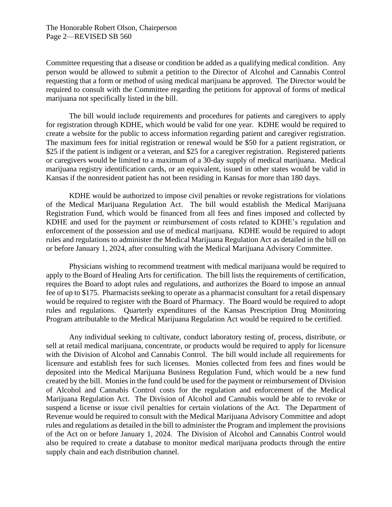Committee requesting that a disease or condition be added as a qualifying medical condition. Any person would be allowed to submit a petition to the Director of Alcohol and Cannabis Control requesting that a form or method of using medical marijuana be approved. The Director would be required to consult with the Committee regarding the petitions for approval of forms of medical marijuana not specifically listed in the bill.

The bill would include requirements and procedures for patients and caregivers to apply for registration through KDHE, which would be valid for one year. KDHE would be required to create a website for the public to access information regarding patient and caregiver registration. The maximum fees for initial registration or renewal would be \$50 for a patient registration, or \$25 if the patient is indigent or a veteran, and \$25 for a caregiver registration. Registered patients or caregivers would be limited to a maximum of a 30-day supply of medical marijuana. Medical marijuana registry identification cards, or an equivalent, issued in other states would be valid in Kansas if the nonresident patient has not been residing in Kansas for more than 180 days.

KDHE would be authorized to impose civil penalties or revoke registrations for violations of the Medical Marijuana Regulation Act. The bill would establish the Medical Marijuana Registration Fund, which would be financed from all fees and fines imposed and collected by KDHE and used for the payment or reimbursement of costs related to KDHE's regulation and enforcement of the possession and use of medical marijuana. KDHE would be required to adopt rules and regulations to administer the Medical Marijuana Regulation Act as detailed in the bill on or before January 1, 2024, after consulting with the Medical Marijuana Advisory Committee.

Physicians wishing to recommend treatment with medical marijuana would be required to apply to the Board of Healing Arts for certification. The bill lists the requirements of certification, requires the Board to adopt rules and regulations, and authorizes the Board to impose an annual fee of up to \$175. Pharmacists seeking to operate as a pharmacist consultant for a retail dispensary would be required to register with the Board of Pharmacy. The Board would be required to adopt rules and regulations. Quarterly expenditures of the Kansas Prescription Drug Monitoring Program attributable to the Medical Marijuana Regulation Act would be required to be certified.

Any individual seeking to cultivate, conduct laboratory testing of, process, distribute, or sell at retail medical marijuana, concentrate, or products would be required to apply for licensure with the Division of Alcohol and Cannabis Control. The bill would include all requirements for licensure and establish fees for such licenses. Monies collected from fees and fines would be deposited into the Medical Marijuana Business Regulation Fund, which would be a new fund created by the bill. Monies in the fund could be used for the payment or reimbursement of Division of Alcohol and Cannabis Control costs for the regulation and enforcement of the Medical Marijuana Regulation Act. The Division of Alcohol and Cannabis would be able to revoke or suspend a license or issue civil penalties for certain violations of the Act. The Department of Revenue would be required to consult with the Medical Marijuana Advisory Committee and adopt rules and regulations as detailed in the bill to administer the Program and implement the provisions of the Act on or before January 1, 2024. The Division of Alcohol and Cannabis Control would also be required to create a database to monitor medical marijuana products through the entire supply chain and each distribution channel.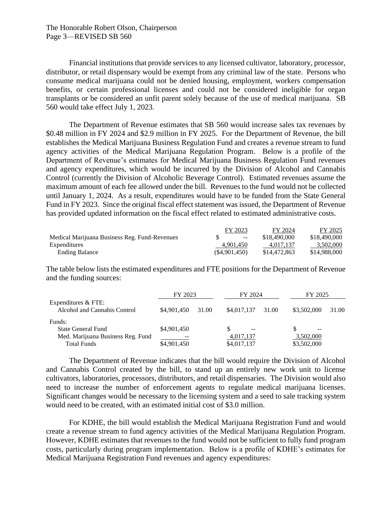The Honorable Robert Olson, Chairperson Page 3—REVISED SB 560

Financial institutions that provide services to any licensed cultivator, laboratory, processor, distributor, or retail dispensary would be exempt from any criminal law of the state. Persons who consume medical marijuana could not be denied housing, employment, workers compensation benefits, or certain professional licenses and could not be considered ineligible for organ transplants or be considered an unfit parent solely because of the use of medical marijuana. SB 560 would take effect July 1, 2023.

The Department of Revenue estimates that SB 560 would increase sales tax revenues by \$0.48 million in FY 2024 and \$2.9 million in FY 2025. For the Department of Revenue, the bill establishes the Medical Marijuana Business Regulation Fund and creates a revenue stream to fund agency activities of the Medical Marijuana Regulation Program. Below is a profile of the Department of Revenue's estimates for Medical Marijuana Business Regulation Fund revenues and agency expenditures, which would be incurred by the Division of Alcohol and Cannabis Control (currently the Division of Alcoholic Beverage Control). Estimated revenues assume the maximum amount of each fee allowed under the bill. Revenues to the fund would not be collected until January 1, 2024. As a result, expenditures would have to be funded from the State General Fund in FY 2023. Since the original fiscal effect statement was issued, the Department of Revenue has provided updated information on the fiscal effect related to estimated administrative costs.

|                                               | FY 2023                  | FY 2024      | FY 2025      |
|-----------------------------------------------|--------------------------|--------------|--------------|
| Medical Marijuana Business Reg. Fund-Revenues | $\overline{\phantom{m}}$ | \$18,490,000 | \$18,490,000 |
| Expenditures                                  | 4.901.450                | 4.017.137    | 3.502.000    |
| <b>Ending Balance</b>                         | (S4.901.450)             | \$14,472,863 | \$14,988,000 |

The table below lists the estimated expenditures and FTE positions for the Department of Revenue and the funding sources:

|                                                     | FY 2023     |       | FY 2024                  |       | FY 2025     |       |
|-----------------------------------------------------|-------------|-------|--------------------------|-------|-------------|-------|
| Expenditures & FTE:<br>Alcohol and Cannabis Control | \$4,901,450 | 31.00 | \$4,017,137              | 31.00 | \$3,502,000 | 31.00 |
| Funds:                                              |             |       |                          |       |             |       |
| State General Fund                                  | \$4,901,450 |       | $\overline{\phantom{m}}$ |       | $- -$       |       |
| Med. Marijuana Business Reg. Fund                   |             |       | 4,017,137                |       | 3,502,000   |       |
| <b>Total Funds</b>                                  | \$4,901,450 |       | \$4,017,137              |       | \$3,502,000 |       |

The Department of Revenue indicates that the bill would require the Division of Alcohol and Cannabis Control created by the bill, to stand up an entirely new work unit to license cultivators, laboratories, processors, distributors, and retail dispensaries. The Division would also need to increase the number of enforcement agents to regulate medical marijuana licenses. Significant changes would be necessary to the licensing system and a seed to sale tracking system would need to be created, with an estimated initial cost of \$3.0 million.

For KDHE, the bill would establish the Medical Marijuana Registration Fund and would create a revenue stream to fund agency activities of the Medical Marijuana Regulation Program. However, KDHE estimates that revenues to the fund would not be sufficient to fully fund program costs, particularly during program implementation. Below is a profile of KDHE's estimates for Medical Marijuana Registration Fund revenues and agency expenditures: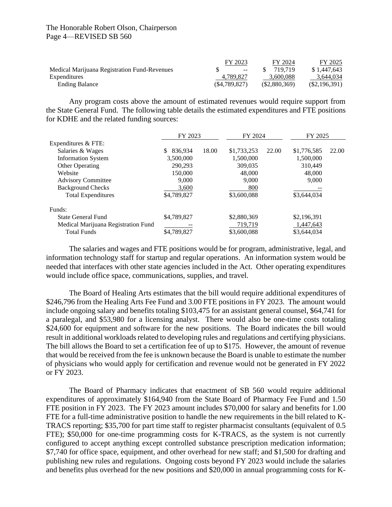## The Honorable Robert Olson, Chairperson Page 4—REVISED SB 560

|                                              | FY 2023       | FY 2024      | FY 2025         |
|----------------------------------------------|---------------|--------------|-----------------|
| Medical Marijuana Registration Fund-Revenues | $\sim$ $\sim$ | 719.719      | \$1,447,643     |
| Expenditures                                 | 4.789.827     | 3.600.088    | 3.644.034       |
| <b>Ending Balance</b>                        | (S4.789.827)  | (S2,880,369) | $(\$2,196,391)$ |

Any program costs above the amount of estimated revenues would require support from the State General Fund. The following table details the estimated expenditures and FTE positions for KDHE and the related funding sources:

|                                     | FY 2023       |       | FY 2024     |       | FY 2025     |       |
|-------------------------------------|---------------|-------|-------------|-------|-------------|-------|
| Expenditures & FTE:                 |               |       |             |       |             |       |
| Salaries & Wages                    | \$<br>836.934 | 18.00 | \$1,733,253 | 22.00 | \$1,776,585 | 22.00 |
| <b>Information System</b>           | 3.500.000     |       | 1,500,000   |       | 1,500,000   |       |
| Other Operating                     | 290,293       |       | 309,035     |       | 310.449     |       |
| Website                             | 150,000       |       | 48,000      |       | 48,000      |       |
| <b>Advisory Committee</b>           | 9,000         |       | 9,000       |       | 9,000       |       |
| <b>Background Checks</b>            | 3,600         |       | 800         |       |             |       |
| <b>Total Expenditures</b>           | \$4,789,827   |       | \$3,600,088 |       | \$3,644,034 |       |
| Funds:                              |               |       |             |       |             |       |
| State General Fund                  | \$4,789,827   |       | \$2,880,369 |       | \$2,196,391 |       |
| Medical Marijuana Registration Fund |               |       | 719,719     |       | 1,447,643   |       |
| <b>Total Funds</b>                  | \$4,789,827   |       | \$3,600,088 |       | \$3,644,034 |       |

The salaries and wages and FTE positions would be for program, administrative, legal, and information technology staff for startup and regular operations. An information system would be needed that interfaces with other state agencies included in the Act. Other operating expenditures would include office space, communications, supplies, and travel.

The Board of Healing Arts estimates that the bill would require additional expenditures of \$246,796 from the Healing Arts Fee Fund and 3.00 FTE positions in FY 2023. The amount would include ongoing salary and benefits totaling \$103,475 for an assistant general counsel, \$64,741 for a paralegal, and \$53,980 for a licensing analyst. There would also be one-time costs totaling \$24,600 for equipment and software for the new positions. The Board indicates the bill would result in additional workloads related to developing rules and regulations and certifying physicians. The bill allows the Board to set a certification fee of up to \$175. However, the amount of revenue that would be received from the fee is unknown because the Board is unable to estimate the number of physicians who would apply for certification and revenue would not be generated in FY 2022 or FY 2023.

The Board of Pharmacy indicates that enactment of SB 560 would require additional expenditures of approximately \$164,940 from the State Board of Pharmacy Fee Fund and 1.50 FTE position in FY 2023. The FY 2023 amount includes \$70,000 for salary and benefits for 1.00 FTE for a full-time administrative position to handle the new requirements in the bill related to K-TRACS reporting; \$35,700 for part time staff to register pharmacist consultants (equivalent of 0.5 FTE); \$50,000 for one-time programming costs for K-TRACS, as the system is not currently configured to accept anything except controlled substance prescription medication information; \$7,740 for office space, equipment, and other overhead for new staff; and \$1,500 for drafting and publishing new rules and regulations. Ongoing costs beyond FY 2023 would include the salaries and benefits plus overhead for the new positions and \$20,000 in annual programming costs for K-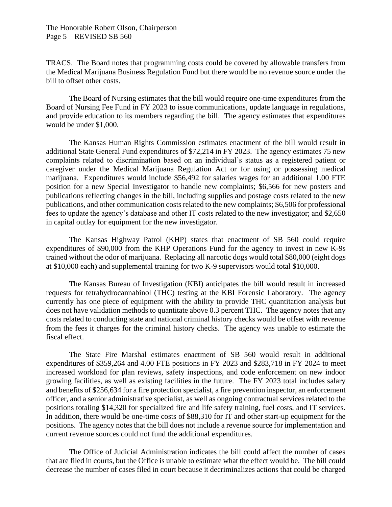TRACS. The Board notes that programming costs could be covered by allowable transfers from the Medical Marijuana Business Regulation Fund but there would be no revenue source under the bill to offset other costs.

The Board of Nursing estimates that the bill would require one-time expenditures from the Board of Nursing Fee Fund in FY 2023 to issue communications, update language in regulations, and provide education to its members regarding the bill. The agency estimates that expenditures would be under \$1,000.

The Kansas Human Rights Commission estimates enactment of the bill would result in additional State General Fund expenditures of \$72,214 in FY 2023. The agency estimates 75 new complaints related to discrimination based on an individual's status as a registered patient or caregiver under the Medical Marijuana Regulation Act or for using or possessing medical marijuana. Expenditures would include \$56,492 for salaries wages for an additional 1.00 FTE position for a new Special Investigator to handle new complaints; \$6,566 for new posters and publications reflecting changes in the bill, including supplies and postage costs related to the new publications, and other communication costs related to the new complaints; \$6,506 for professional fees to update the agency's database and other IT costs related to the new investigator; and \$2,650 in capital outlay for equipment for the new investigator.

The Kansas Highway Patrol (KHP) states that enactment of SB 560 could require expenditures of \$90,000 from the KHP Operations Fund for the agency to invest in new K-9s trained without the odor of marijuana. Replacing all narcotic dogs would total \$80,000 (eight dogs at \$10,000 each) and supplemental training for two K-9 supervisors would total \$10,000.

The Kansas Bureau of Investigation (KBI) anticipates the bill would result in increased requests for tetrahydrocannabinol (THC) testing at the KBI Forensic Laboratory. The agency currently has one piece of equipment with the ability to provide THC quantitation analysis but does not have validation methods to quantitate above 0.3 percent THC. The agency notes that any costs related to conducting state and national criminal history checks would be offset with revenue from the fees it charges for the criminal history checks. The agency was unable to estimate the fiscal effect.

The State Fire Marshal estimates enactment of SB 560 would result in additional expenditures of \$359,264 and 4.00 FTE positions in FY 2023 and \$283,718 in FY 2024 to meet increased workload for plan reviews, safety inspections, and code enforcement on new indoor growing facilities, as well as existing facilities in the future. The FY 2023 total includes salary and benefits of \$256,634 for a fire protection specialist, a fire prevention inspector, an enforcement officer, and a senior administrative specialist, as well as ongoing contractual services related to the positions totaling \$14,320 for specialized fire and life safety training, fuel costs, and IT services. In addition, there would be one-time costs of \$88,310 for IT and other start-up equipment for the positions. The agency notes that the bill does not include a revenue source for implementation and current revenue sources could not fund the additional expenditures.

The Office of Judicial Administration indicates the bill could affect the number of cases that are filed in courts, but the Office is unable to estimate what the effect would be. The bill could decrease the number of cases filed in court because it decriminalizes actions that could be charged